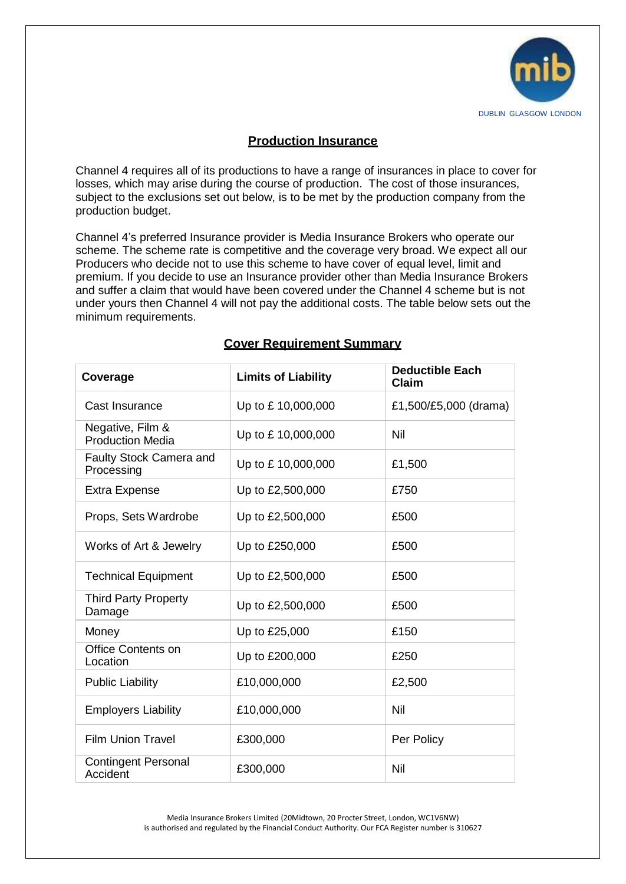

# **Production Insurance**

Channel 4 requires all of its productions to have a range of insurances in place to cover for losses, which may arise during the course of production. The cost of those insurances, subject to the exclusions set out below, is to be met by the production company from the production budget.

Channel 4's preferred Insurance provider is Media Insurance Brokers who operate our scheme. The scheme rate is competitive and the coverage very broad. We expect all our Producers who decide not to use this scheme to have cover of equal level, limit and premium. If you decide to use an Insurance provider other than Media Insurance Brokers and suffer a claim that would have been covered under the Channel 4 scheme but is not under yours then Channel 4 will not pay the additional costs. The table below sets out the minimum requirements.

| Coverage                                    | <b>Limits of Liability</b> | <b>Deductible Each</b><br><b>Claim</b> |
|---------------------------------------------|----------------------------|----------------------------------------|
| Cast Insurance                              | Up to £10,000,000          | £1,500/£5,000 (drama)                  |
| Negative, Film &<br><b>Production Media</b> | Up to £10,000,000          | Nil                                    |
| Faulty Stock Camera and<br>Processing       | Up to £10,000,000          | £1,500                                 |
| <b>Extra Expense</b>                        | Up to £2,500,000           | £750                                   |
| Props, Sets Wardrobe                        | Up to £2,500,000           | £500                                   |
| Works of Art & Jewelry                      | Up to £250,000             | £500                                   |
| <b>Technical Equipment</b>                  | Up to £2,500,000           | £500                                   |
| <b>Third Party Property</b><br>Damage       | Up to £2,500,000           | £500                                   |
| Money                                       | Up to £25,000              | £150                                   |
| <b>Office Contents on</b><br>Location       | Up to £200,000             | £250                                   |
| <b>Public Liability</b>                     | £10,000,000                | £2,500                                 |
| <b>Employers Liability</b>                  | £10,000,000                | Nil                                    |
| <b>Film Union Travel</b>                    | £300,000                   | Per Policy                             |
| <b>Contingent Personal</b><br>Accident      | £300,000                   | Nil                                    |

## **Cover Requirement Summary**

Media Insurance Brokers Limited (20Midtown, 20 Procter Street, London, WC1V6NW) is authorised and regulated by the Financial Conduct Authority. Our FCA Register number is 310627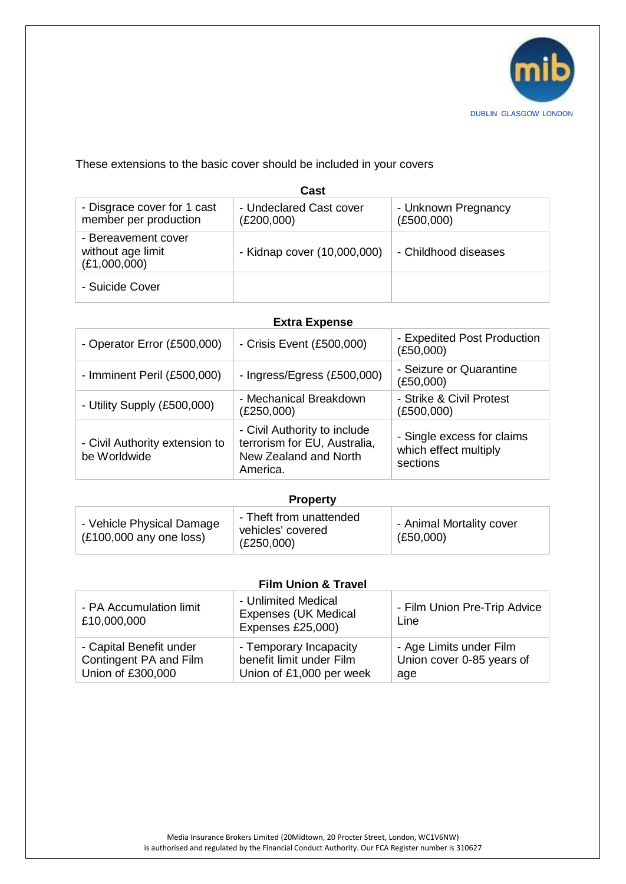

## These extensions to the basic cover should be included in your covers

| Cast                                                     |                                       |                                   |  |  |
|----------------------------------------------------------|---------------------------------------|-----------------------------------|--|--|
| - Disgrace cover for 1 cast<br>member per production     | - Undeclared Cast cover<br>(E200,000) | - Unknown Pregnancy<br>(E500,000) |  |  |
| - Bereavement cover<br>without age limit<br>(E1,000,000) | - Kidnap cover (10,000,000)           | - Childhood diseases              |  |  |
| - Suicide Cover                                          |                                       |                                   |  |  |

### **Extra Expense**

| - Operator Error (£500,000)                    | - Crisis Event (£500,000)                                                                         | - Expedited Post Production<br>(E50,000)                        |
|------------------------------------------------|---------------------------------------------------------------------------------------------------|-----------------------------------------------------------------|
| - Imminent Peril (£500,000)                    | - Ingress/Egress (£500,000)                                                                       | - Seizure or Quarantine<br>(E50,000)                            |
| - Utility Supply (£500,000)                    | - Mechanical Breakdown<br>(E250,000)                                                              | - Strike & Civil Protest<br>(E500,000)                          |
| - Civil Authority extension to<br>be Worldwide | - Civil Authority to include<br>terrorism for EU, Australia,<br>New Zealand and North<br>America. | - Single excess for claims<br>which effect multiply<br>sections |

#### **Property**

### **Film Union & Travel**

| - PA Accumulation limit<br>£10,000,000 | - Unlimited Medical<br><b>Expenses (UK Medical</b><br>Expenses £25,000) | - Film Union Pre-Trip Advice<br>Line |
|----------------------------------------|-------------------------------------------------------------------------|--------------------------------------|
| - Capital Benefit under                | - Temporary Incapacity                                                  | - Age Limits under Film              |
| Contingent PA and Film                 | benefit limit under Film                                                | Union cover 0-85 years of            |
| Union of £300,000                      | Union of £1,000 per week                                                | age                                  |